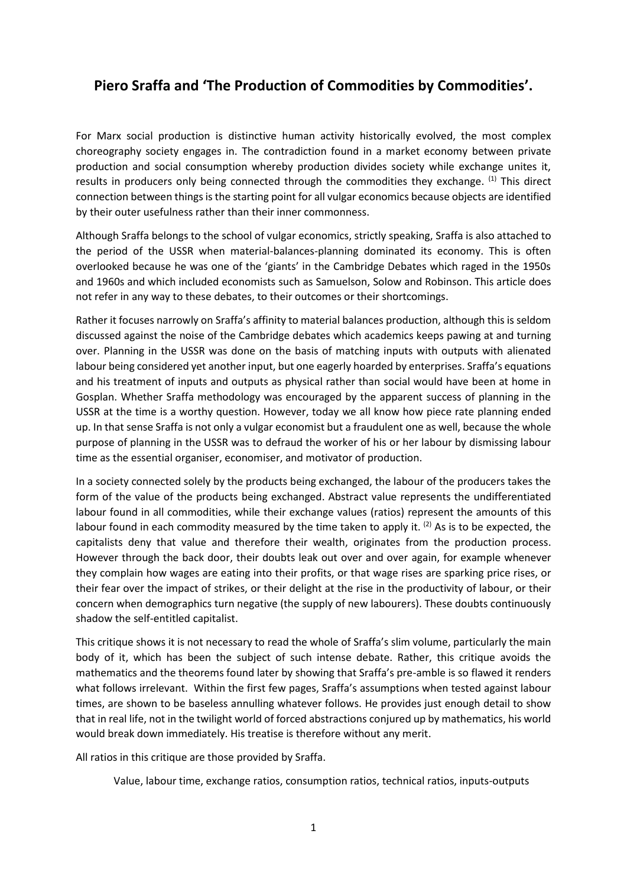## **Piero Sraffa and 'The Production of Commodities by Commodities'.**

For Marx social production is distinctive human activity historically evolved, the most complex choreography society engages in. The contradiction found in a market economy between private production and social consumption whereby production divides society while exchange unites it, results in producers only being connected through the commodities they exchange. <sup>(1)</sup> This direct connection between things is the starting point for all vulgar economics because objects are identified by their outer usefulness rather than their inner commonness.

Although Sraffa belongs to the school of vulgar economics, strictly speaking, Sraffa is also attached to the period of the USSR when material-balances-planning dominated its economy. This is often overlooked because he was one of the 'giants' in the Cambridge Debates which raged in the 1950s and 1960s and which included economists such as Samuelson, Solow and Robinson. This article does not refer in any way to these debates, to their outcomes or their shortcomings.

Rather it focuses narrowly on Sraffa's affinity to material balances production, although this is seldom discussed against the noise of the Cambridge debates which academics keeps pawing at and turning over. Planning in the USSR was done on the basis of matching inputs with outputs with alienated labour being considered yet another input, but one eagerly hoarded by enterprises. Sraffa's equations and his treatment of inputs and outputs as physical rather than social would have been at home in Gosplan. Whether Sraffa methodology was encouraged by the apparent success of planning in the USSR at the time is a worthy question. However, today we all know how piece rate planning ended up. In that sense Sraffa is not only a vulgar economist but a fraudulent one as well, because the whole purpose of planning in the USSR was to defraud the worker of his or her labour by dismissing labour time as the essential organiser, economiser, and motivator of production.

In a society connected solely by the products being exchanged, the labour of the producers takes the form of the value of the products being exchanged. Abstract value represents the undifferentiated labour found in all commodities, while their exchange values (ratios) represent the amounts of this labour found in each commodity measured by the time taken to apply it.  $(2)$  As is to be expected, the capitalists deny that value and therefore their wealth, originates from the production process. However through the back door, their doubts leak out over and over again, for example whenever they complain how wages are eating into their profits, or that wage rises are sparking price rises, or their fear over the impact of strikes, or their delight at the rise in the productivity of labour, or their concern when demographics turn negative (the supply of new labourers). These doubts continuously shadow the self-entitled capitalist.

This critique shows it is not necessary to read the whole of Sraffa's slim volume, particularly the main body of it, which has been the subject of such intense debate. Rather, this critique avoids the mathematics and the theorems found later by showing that Sraffa's pre-amble is so flawed it renders what follows irrelevant. Within the first few pages, Sraffa's assumptions when tested against labour times, are shown to be baseless annulling whatever follows. He provides just enough detail to show that in real life, not in the twilight world of forced abstractions conjured up by mathematics, his world would break down immediately. His treatise is therefore without any merit.

All ratios in this critique are those provided by Sraffa.

Value, labour time, exchange ratios, consumption ratios, technical ratios, inputs-outputs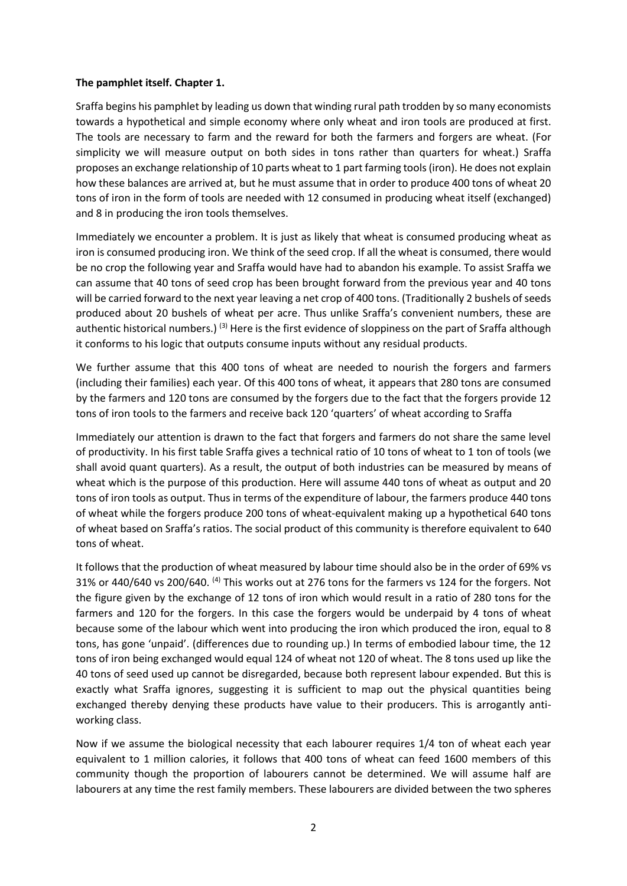## **The pamphlet itself. Chapter 1.**

Sraffa begins his pamphlet by leading us down that winding rural path trodden by so many economists towards a hypothetical and simple economy where only wheat and iron tools are produced at first. The tools are necessary to farm and the reward for both the farmers and forgers are wheat. (For simplicity we will measure output on both sides in tons rather than quarters for wheat.) Sraffa proposes an exchange relationship of 10 parts wheat to 1 part farming tools(iron). He does not explain how these balances are arrived at, but he must assume that in order to produce 400 tons of wheat 20 tons of iron in the form of tools are needed with 12 consumed in producing wheat itself (exchanged) and 8 in producing the iron tools themselves.

Immediately we encounter a problem. It is just as likely that wheat is consumed producing wheat as iron is consumed producing iron. We think of the seed crop. If all the wheat is consumed, there would be no crop the following year and Sraffa would have had to abandon his example. To assist Sraffa we can assume that 40 tons of seed crop has been brought forward from the previous year and 40 tons will be carried forward to the next year leaving a net crop of 400 tons. (Traditionally 2 bushels of seeds produced about 20 bushels of wheat per acre. Thus unlike Sraffa's convenient numbers, these are authentic historical numbers.)<sup>(3)</sup> Here is the first evidence of sloppiness on the part of Sraffa although it conforms to his logic that outputs consume inputs without any residual products.

We further assume that this 400 tons of wheat are needed to nourish the forgers and farmers (including their families) each year. Of this 400 tons of wheat, it appears that 280 tons are consumed by the farmers and 120 tons are consumed by the forgers due to the fact that the forgers provide 12 tons of iron tools to the farmers and receive back 120 'quarters' of wheat according to Sraffa

Immediately our attention is drawn to the fact that forgers and farmers do not share the same level of productivity. In his first table Sraffa gives a technical ratio of 10 tons of wheat to 1 ton of tools (we shall avoid quant quarters). As a result, the output of both industries can be measured by means of wheat which is the purpose of this production. Here will assume 440 tons of wheat as output and 20 tons of iron tools as output. Thus in terms of the expenditure of labour, the farmers produce 440 tons of wheat while the forgers produce 200 tons of wheat-equivalent making up a hypothetical 640 tons of wheat based on Sraffa's ratios. The social product of this community is therefore equivalent to 640 tons of wheat.

It follows that the production of wheat measured by labour time should also be in the order of 69% vs 31% or 440/640 vs 200/640. <sup>(4)</sup> This works out at 276 tons for the farmers vs 124 for the forgers. Not the figure given by the exchange of 12 tons of iron which would result in a ratio of 280 tons for the farmers and 120 for the forgers. In this case the forgers would be underpaid by 4 tons of wheat because some of the labour which went into producing the iron which produced the iron, equal to 8 tons, has gone 'unpaid'. (differences due to rounding up.) In terms of embodied labour time, the 12 tons of iron being exchanged would equal 124 of wheat not 120 of wheat. The 8 tons used up like the 40 tons of seed used up cannot be disregarded, because both represent labour expended. But this is exactly what Sraffa ignores, suggesting it is sufficient to map out the physical quantities being exchanged thereby denying these products have value to their producers. This is arrogantly antiworking class.

Now if we assume the biological necessity that each labourer requires 1/4 ton of wheat each year equivalent to 1 million calories, it follows that 400 tons of wheat can feed 1600 members of this community though the proportion of labourers cannot be determined. We will assume half are labourers at any time the rest family members. These labourers are divided between the two spheres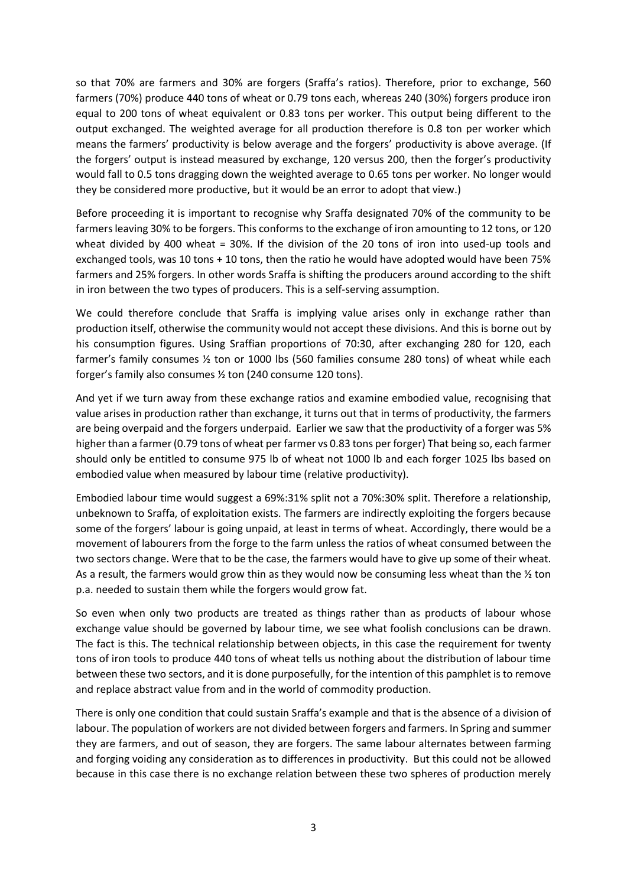so that 70% are farmers and 30% are forgers (Sraffa's ratios). Therefore, prior to exchange, 560 farmers (70%) produce 440 tons of wheat or 0.79 tons each, whereas 240 (30%) forgers produce iron equal to 200 tons of wheat equivalent or 0.83 tons per worker. This output being different to the output exchanged. The weighted average for all production therefore is 0.8 ton per worker which means the farmers' productivity is below average and the forgers' productivity is above average. (If the forgers' output is instead measured by exchange, 120 versus 200, then the forger's productivity would fall to 0.5 tons dragging down the weighted average to 0.65 tons per worker. No longer would they be considered more productive, but it would be an error to adopt that view.)

Before proceeding it is important to recognise why Sraffa designated 70% of the community to be farmers leaving 30% to be forgers. This conforms to the exchange of iron amounting to 12 tons, or 120 wheat divided by 400 wheat = 30%. If the division of the 20 tons of iron into used-up tools and exchanged tools, was 10 tons + 10 tons, then the ratio he would have adopted would have been 75% farmers and 25% forgers. In other words Sraffa is shifting the producers around according to the shift in iron between the two types of producers. This is a self-serving assumption.

We could therefore conclude that Sraffa is implying value arises only in exchange rather than production itself, otherwise the community would not accept these divisions. And this is borne out by his consumption figures. Using Sraffian proportions of 70:30, after exchanging 280 for 120, each farmer's family consumes ½ ton or 1000 lbs (560 families consume 280 tons) of wheat while each forger's family also consumes ½ ton (240 consume 120 tons).

And yet if we turn away from these exchange ratios and examine embodied value, recognising that value arises in production rather than exchange, it turns out that in terms of productivity, the farmers are being overpaid and the forgers underpaid. Earlier we saw that the productivity of a forger was 5% higher than a farmer (0.79 tons of wheat per farmer vs 0.83 tons per forger) That being so, each farmer should only be entitled to consume 975 lb of wheat not 1000 lb and each forger 1025 lbs based on embodied value when measured by labour time (relative productivity).

Embodied labour time would suggest a 69%:31% split not a 70%:30% split. Therefore a relationship, unbeknown to Sraffa, of exploitation exists. The farmers are indirectly exploiting the forgers because some of the forgers' labour is going unpaid, at least in terms of wheat. Accordingly, there would be a movement of labourers from the forge to the farm unless the ratios of wheat consumed between the two sectors change. Were that to be the case, the farmers would have to give up some of their wheat. As a result, the farmers would grow thin as they would now be consuming less wheat than the ½ ton p.a. needed to sustain them while the forgers would grow fat.

So even when only two products are treated as things rather than as products of labour whose exchange value should be governed by labour time, we see what foolish conclusions can be drawn. The fact is this. The technical relationship between objects, in this case the requirement for twenty tons of iron tools to produce 440 tons of wheat tells us nothing about the distribution of labour time between these two sectors, and it is done purposefully, for the intention of this pamphlet is to remove and replace abstract value from and in the world of commodity production.

There is only one condition that could sustain Sraffa's example and that is the absence of a division of labour. The population of workers are not divided between forgers and farmers. In Spring and summer they are farmers, and out of season, they are forgers. The same labour alternates between farming and forging voiding any consideration as to differences in productivity. But this could not be allowed because in this case there is no exchange relation between these two spheres of production merely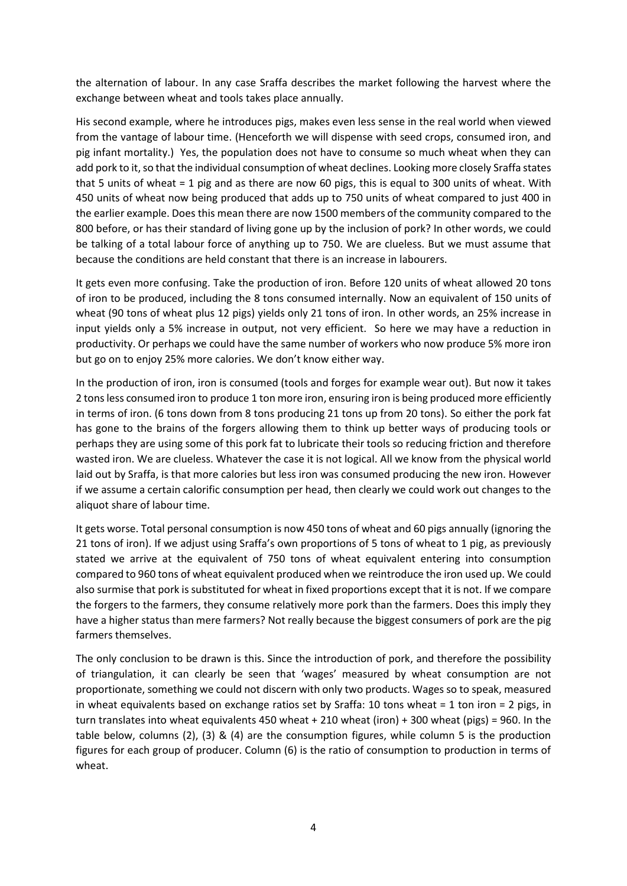the alternation of labour. In any case Sraffa describes the market following the harvest where the exchange between wheat and tools takes place annually.

His second example, where he introduces pigs, makes even less sense in the real world when viewed from the vantage of labour time. (Henceforth we will dispense with seed crops, consumed iron, and pig infant mortality.) Yes, the population does not have to consume so much wheat when they can add pork to it, so that the individual consumption of wheat declines. Looking more closely Sraffa states that 5 units of wheat = 1 pig and as there are now 60 pigs, this is equal to 300 units of wheat. With 450 units of wheat now being produced that adds up to 750 units of wheat compared to just 400 in the earlier example. Does this mean there are now 1500 members of the community compared to the 800 before, or has their standard of living gone up by the inclusion of pork? In other words, we could be talking of a total labour force of anything up to 750. We are clueless. But we must assume that because the conditions are held constant that there is an increase in labourers.

It gets even more confusing. Take the production of iron. Before 120 units of wheat allowed 20 tons of iron to be produced, including the 8 tons consumed internally. Now an equivalent of 150 units of wheat (90 tons of wheat plus 12 pigs) yields only 21 tons of iron. In other words, an 25% increase in input yields only a 5% increase in output, not very efficient. So here we may have a reduction in productivity. Or perhaps we could have the same number of workers who now produce 5% more iron but go on to enjoy 25% more calories. We don't know either way.

In the production of iron, iron is consumed (tools and forges for example wear out). But now it takes 2 tons less consumed iron to produce 1 ton more iron, ensuring iron is being produced more efficiently in terms of iron. (6 tons down from 8 tons producing 21 tons up from 20 tons). So either the pork fat has gone to the brains of the forgers allowing them to think up better ways of producing tools or perhaps they are using some of this pork fat to lubricate their tools so reducing friction and therefore wasted iron. We are clueless. Whatever the case it is not logical. All we know from the physical world laid out by Sraffa, is that more calories but less iron was consumed producing the new iron. However if we assume a certain calorific consumption per head, then clearly we could work out changes to the aliquot share of labour time.

It gets worse. Total personal consumption is now 450 tons of wheat and 60 pigs annually (ignoring the 21 tons of iron). If we adjust using Sraffa's own proportions of 5 tons of wheat to 1 pig, as previously stated we arrive at the equivalent of 750 tons of wheat equivalent entering into consumption compared to 960 tons of wheat equivalent produced when we reintroduce the iron used up. We could also surmise that pork is substituted for wheat in fixed proportions except that it is not. If we compare the forgers to the farmers, they consume relatively more pork than the farmers. Does this imply they have a higher status than mere farmers? Not really because the biggest consumers of pork are the pig farmers themselves.

The only conclusion to be drawn is this. Since the introduction of pork, and therefore the possibility of triangulation, it can clearly be seen that 'wages' measured by wheat consumption are not proportionate, something we could not discern with only two products. Wages so to speak, measured in wheat equivalents based on exchange ratios set by Sraffa: 10 tons wheat = 1 ton iron = 2 pigs, in turn translates into wheat equivalents 450 wheat + 210 wheat (iron) + 300 wheat (pigs) = 960. In the table below, columns (2), (3) & (4) are the consumption figures, while column 5 is the production figures for each group of producer. Column (6) is the ratio of consumption to production in terms of wheat.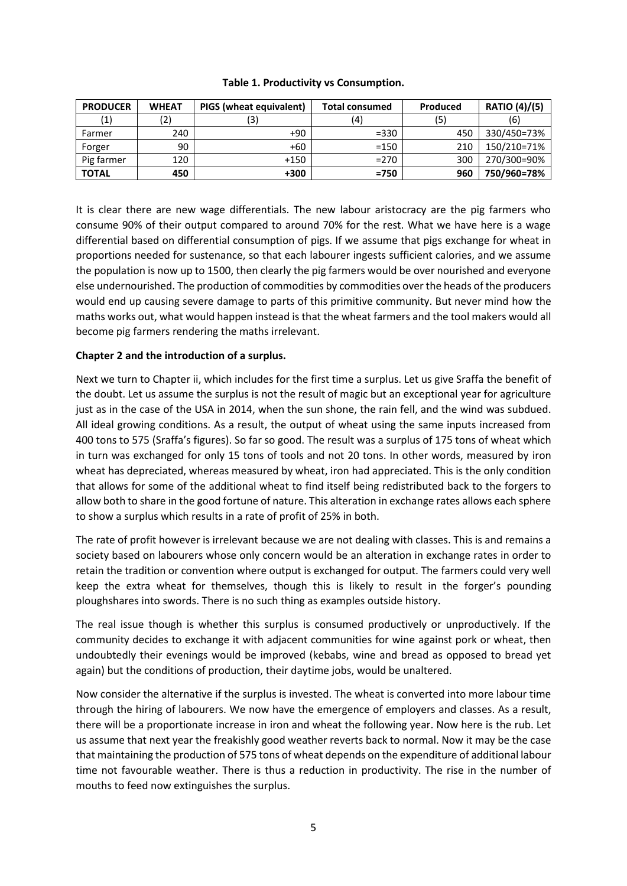| Table 1. Productivity vs Consumption. |  |
|---------------------------------------|--|
|---------------------------------------|--|

| <b>PRODUCER</b> | <b>WHEAT</b> | PIGS (wheat equivalent) | <b>Total consumed</b> | Produced | <b>RATIO (4)/(5)</b> |
|-----------------|--------------|-------------------------|-----------------------|----------|----------------------|
|                 | (2)          | (3)                     | (4)                   | (5)      | (6)                  |
| Farmer          | 240          | $+90$                   | $= 330$               | 450      | 330/450=73%          |
| Forger          | 90           | $+60$                   | $=150$                | 210      | 150/210=71%          |
| Pig farmer      | 120          | $+150$                  | $= 270$               | 300      | 270/300=90%          |
| <b>TOTAL</b>    | 450          | +300                    | $=750$                | 960      | 750/960=78%          |

It is clear there are new wage differentials. The new labour aristocracy are the pig farmers who consume 90% of their output compared to around 70% for the rest. What we have here is a wage differential based on differential consumption of pigs. If we assume that pigs exchange for wheat in proportions needed for sustenance, so that each labourer ingests sufficient calories, and we assume the population is now up to 1500, then clearly the pig farmers would be over nourished and everyone else undernourished. The production of commodities by commodities over the heads of the producers would end up causing severe damage to parts of this primitive community. But never mind how the maths works out, what would happen instead is that the wheat farmers and the tool makers would all become pig farmers rendering the maths irrelevant.

## **Chapter 2 and the introduction of a surplus.**

Next we turn to Chapter ii, which includes for the first time a surplus. Let us give Sraffa the benefit of the doubt. Let us assume the surplus is not the result of magic but an exceptional year for agriculture just as in the case of the USA in 2014, when the sun shone, the rain fell, and the wind was subdued. All ideal growing conditions. As a result, the output of wheat using the same inputs increased from 400 tons to 575 (Sraffa's figures). So far so good. The result was a surplus of 175 tons of wheat which in turn was exchanged for only 15 tons of tools and not 20 tons. In other words, measured by iron wheat has depreciated, whereas measured by wheat, iron had appreciated. This is the only condition that allows for some of the additional wheat to find itself being redistributed back to the forgers to allow both to share in the good fortune of nature. This alteration in exchange rates allows each sphere to show a surplus which results in a rate of profit of 25% in both.

The rate of profit however is irrelevant because we are not dealing with classes. This is and remains a society based on labourers whose only concern would be an alteration in exchange rates in order to retain the tradition or convention where output is exchanged for output. The farmers could very well keep the extra wheat for themselves, though this is likely to result in the forger's pounding ploughshares into swords. There is no such thing as examples outside history.

The real issue though is whether this surplus is consumed productively or unproductively. If the community decides to exchange it with adjacent communities for wine against pork or wheat, then undoubtedly their evenings would be improved (kebabs, wine and bread as opposed to bread yet again) but the conditions of production, their daytime jobs, would be unaltered.

Now consider the alternative if the surplus is invested. The wheat is converted into more labour time through the hiring of labourers. We now have the emergence of employers and classes. As a result, there will be a proportionate increase in iron and wheat the following year. Now here is the rub. Let us assume that next year the freakishly good weather reverts back to normal. Now it may be the case that maintaining the production of 575 tons of wheat depends on the expenditure of additional labour time not favourable weather. There is thus a reduction in productivity. The rise in the number of mouths to feed now extinguishes the surplus.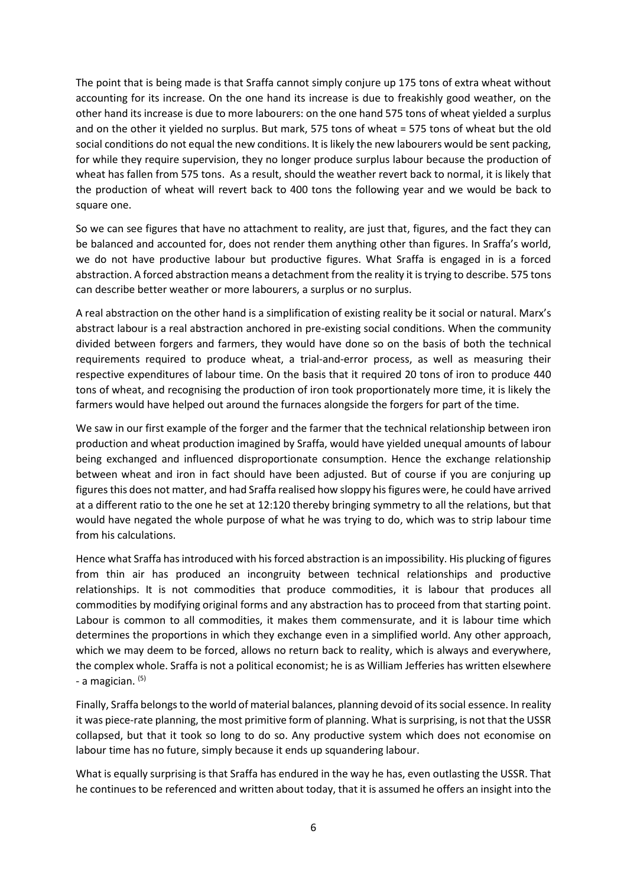The point that is being made is that Sraffa cannot simply conjure up 175 tons of extra wheat without accounting for its increase. On the one hand its increase is due to freakishly good weather, on the other hand its increase is due to more labourers: on the one hand 575 tons of wheat yielded a surplus and on the other it yielded no surplus. But mark, 575 tons of wheat = 575 tons of wheat but the old social conditions do not equal the new conditions. It is likely the new labourers would be sent packing, for while they require supervision, they no longer produce surplus labour because the production of wheat has fallen from 575 tons. As a result, should the weather revert back to normal, it is likely that the production of wheat will revert back to 400 tons the following year and we would be back to square one.

So we can see figures that have no attachment to reality, are just that, figures, and the fact they can be balanced and accounted for, does not render them anything other than figures. In Sraffa's world, we do not have productive labour but productive figures. What Sraffa is engaged in is a forced abstraction. A forced abstraction means a detachment from the reality it is trying to describe. 575 tons can describe better weather or more labourers, a surplus or no surplus.

A real abstraction on the other hand is a simplification of existing reality be it social or natural. Marx's abstract labour is a real abstraction anchored in pre-existing social conditions. When the community divided between forgers and farmers, they would have done so on the basis of both the technical requirements required to produce wheat, a trial-and-error process, as well as measuring their respective expenditures of labour time. On the basis that it required 20 tons of iron to produce 440 tons of wheat, and recognising the production of iron took proportionately more time, it is likely the farmers would have helped out around the furnaces alongside the forgers for part of the time.

We saw in our first example of the forger and the farmer that the technical relationship between iron production and wheat production imagined by Sraffa, would have yielded unequal amounts of labour being exchanged and influenced disproportionate consumption. Hence the exchange relationship between wheat and iron in fact should have been adjusted. But of course if you are conjuring up figures this does not matter, and had Sraffa realised how sloppy his figures were, he could have arrived at a different ratio to the one he set at 12:120 thereby bringing symmetry to all the relations, but that would have negated the whole purpose of what he was trying to do, which was to strip labour time from his calculations.

Hence what Sraffa has introduced with his forced abstraction is an impossibility. His plucking of figures from thin air has produced an incongruity between technical relationships and productive relationships. It is not commodities that produce commodities, it is labour that produces all commodities by modifying original forms and any abstraction has to proceed from that starting point. Labour is common to all commodities, it makes them commensurate, and it is labour time which determines the proportions in which they exchange even in a simplified world. Any other approach, which we may deem to be forced, allows no return back to reality, which is always and everywhere, the complex whole. Sraffa is not a political economist; he is as William Jefferies has written elsewhere - a magician. (5)

Finally, Sraffa belongs to the world of material balances, planning devoid of its social essence. In reality it was piece-rate planning, the most primitive form of planning. What is surprising, is not that the USSR collapsed, but that it took so long to do so. Any productive system which does not economise on labour time has no future, simply because it ends up squandering labour.

What is equally surprising is that Sraffa has endured in the way he has, even outlasting the USSR. That he continues to be referenced and written about today, that it is assumed he offers an insight into the